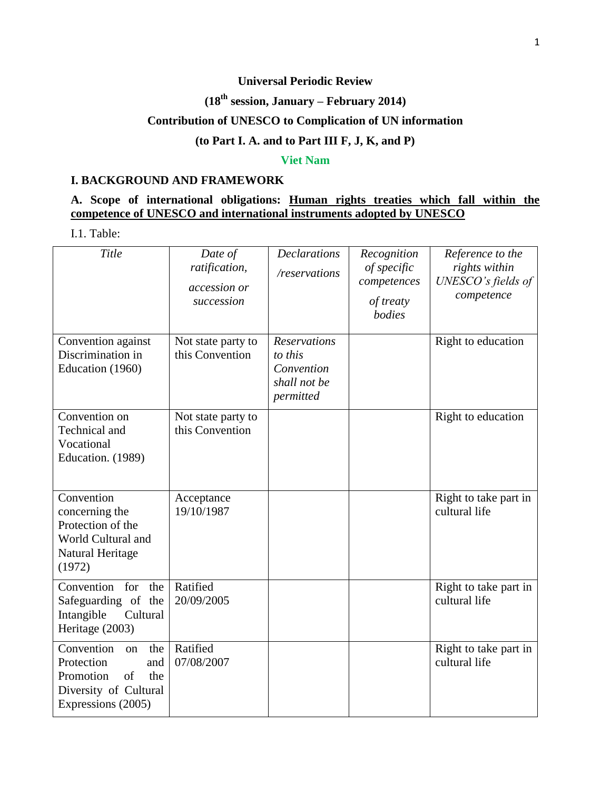# **Universal Periodic Review**

# **(18th session, January – February 2014)**

## **Contribution of UNESCO to Complication of UN information**

#### **(to Part I. A. and to Part III F, J, K, and P)**

#### **Viet Nam**

#### **I. BACKGROUND AND FRAMEWORK**

# **A. Scope of international obligations: Human rights treaties which fall within the competence of UNESCO and international instruments adopted by UNESCO**

I.1. Table:

| Title                                                                                                                 | Date of<br>ratification,<br>accession or<br>succession | <b>Declarations</b><br>/reservations                                      | Recognition<br>of specific<br>competences<br>of treaty<br>bodies | Reference to the<br>rights within<br>UNESCO's fields of<br>competence |
|-----------------------------------------------------------------------------------------------------------------------|--------------------------------------------------------|---------------------------------------------------------------------------|------------------------------------------------------------------|-----------------------------------------------------------------------|
| Convention against<br>Discrimination in<br>Education (1960)                                                           | Not state party to<br>this Convention                  | <b>Reservations</b><br>to this<br>Convention<br>shall not be<br>permitted |                                                                  | Right to education                                                    |
| Convention on<br>Technical and<br>Vocational<br>Education. (1989)                                                     | Not state party to<br>this Convention                  |                                                                           |                                                                  | Right to education                                                    |
| Convention<br>concerning the<br>Protection of the<br>World Cultural and<br>Natural Heritage<br>(1972)                 | Acceptance<br>19/10/1987                               |                                                                           |                                                                  | Right to take part in<br>cultural life                                |
| Convention<br>for<br>the<br>Safeguarding of the<br>Intangible<br>Cultural<br>Heritage (2003)                          | Ratified<br>20/09/2005                                 |                                                                           |                                                                  | Right to take part in<br>cultural life                                |
| Convention<br>the<br>on<br>Protection<br>and<br>of<br>Promotion<br>the<br>Diversity of Cultural<br>Expressions (2005) | Ratified<br>07/08/2007                                 |                                                                           |                                                                  | Right to take part in<br>cultural life                                |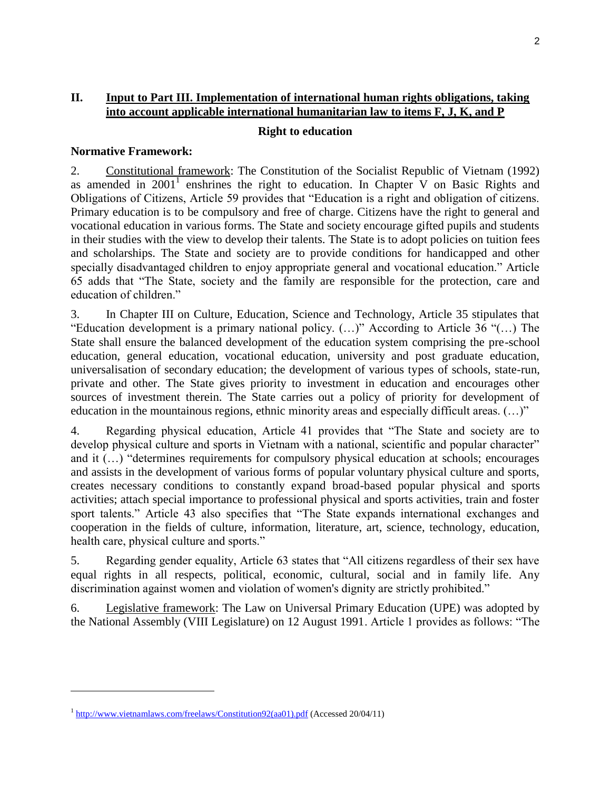#### **II. Input to Part III. Implementation of international human rights obligations, taking into account applicable international humanitarian law to items F, J, K, and P**

#### **Right to education**

#### **Normative Framework:**

2. Constitutional framework: The Constitution of the Socialist Republic of Vietnam (1992) as amended in  $2001<sup>1</sup>$  enshrines the right to education. In Chapter V on Basic Rights and Obligations of Citizens, Article 59 provides that "Education is a right and obligation of citizens. Primary education is to be compulsory and free of charge. Citizens have the right to general and vocational education in various forms. The State and society encourage gifted pupils and students in their studies with the view to develop their talents. The State is to adopt policies on tuition fees and scholarships. The State and society are to provide conditions for handicapped and other specially disadvantaged children to enjoy appropriate general and vocational education." Article 65 adds that "The State, society and the family are responsible for the protection, care and education of children."

3. In Chapter III on Culture, Education, Science and Technology, Article 35 stipulates that "Education development is a primary national policy. (…)" According to Article 36 "(…) The State shall ensure the balanced development of the education system comprising the pre-school education, general education, vocational education, university and post graduate education, universalisation of secondary education; the development of various types of schools, state-run, private and other. The State gives priority to investment in education and encourages other sources of investment therein. The State carries out a policy of priority for development of education in the mountainous regions, ethnic minority areas and especially difficult areas. (…)"

4. Regarding physical education, Article 41 provides that "The State and society are to develop physical culture and sports in Vietnam with a national, scientific and popular character" and it (…) "determines requirements for compulsory physical education at schools; encourages and assists in the development of various forms of popular voluntary physical culture and sports, creates necessary conditions to constantly expand broad-based popular physical and sports activities; attach special importance to professional physical and sports activities, train and foster sport talents." Article 43 also specifies that "The State expands international exchanges and cooperation in the fields of culture, information, literature, art, science, technology, education, health care, physical culture and sports."

5. Regarding gender equality, Article 63 states that "All citizens regardless of their sex have equal rights in all respects, political, economic, cultural, social and in family life. Any discrimination against women and violation of women's dignity are strictly prohibited."

6. Legislative framework: The Law on Universal Primary Education (UPE) was adopted by the National Assembly (VIII Legislature) on 12 August 1991. Article 1 provides as follows: "The

 $\overline{\phantom{a}}$ 

<sup>&</sup>lt;sup>1</sup> [http://www.vietnamlaws.com/freelaws/Constitution92\(aa01\).pdf](http://www.vietnamlaws.com/freelaws/Constitution92(aa01).pdf) (Accessed 20/04/11)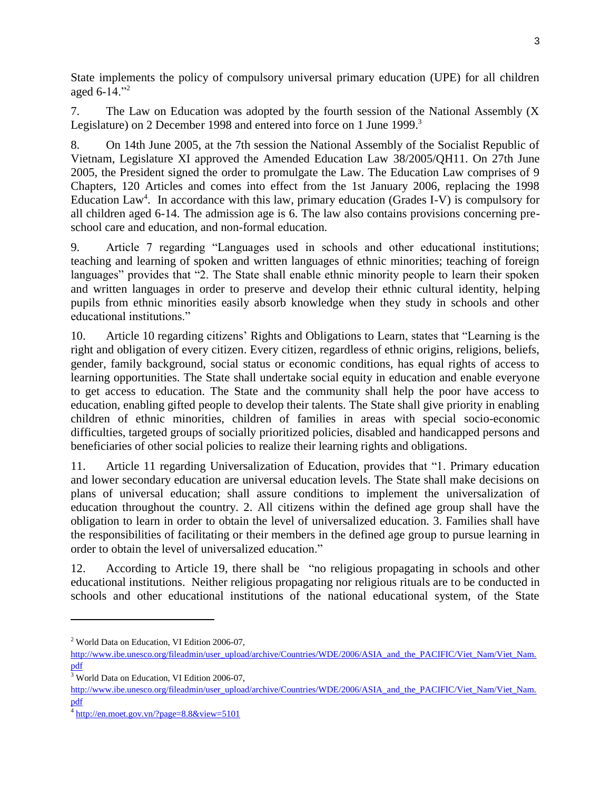State implements the policy of compulsory universal primary education (UPE) for all children aged 6-14."<sup>2</sup>

7. The Law on Education was adopted by the fourth session of the National Assembly (X Legislature) on 2 December 1998 and entered into force on 1 June 1999.<sup>3</sup>

8. On 14th June 2005, at the 7th session the National Assembly of the Socialist Republic of Vietnam, Legislature XI approved the Amended Education Law 38/2005/QH11. On 27th June 2005, the President signed the order to promulgate the Law. The Education Law comprises of 9 Chapters, 120 Articles and comes into effect from the 1st January 2006, replacing the 1998 Education Law<sup>4</sup>. In accordance with this law, primary education (Grades I-V) is compulsory for all children aged 6-14. The admission age is 6. The law also contains provisions concerning preschool care and education, and non-formal education.

9. Article 7 regarding "Languages used in schools and other educational institutions; teaching and learning of spoken and written languages of ethnic minorities; teaching of foreign languages" provides that "2. The State shall enable ethnic minority people to learn their spoken and written languages in order to preserve and develop their ethnic cultural identity, helping pupils from ethnic minorities easily absorb knowledge when they study in schools and other educational institutions."

10. Article 10 regarding citizens' Rights and Obligations to Learn, states that "Learning is the right and obligation of every citizen. Every citizen, regardless of ethnic origins, religions, beliefs, gender, family background, social status or economic conditions, has equal rights of access to learning opportunities. The State shall undertake social equity in education and enable everyone to get access to education. The State and the community shall help the poor have access to education, enabling gifted people to develop their talents. The State shall give priority in enabling children of ethnic minorities, children of families in areas with special socio-economic difficulties, targeted groups of socially prioritized policies, disabled and handicapped persons and beneficiaries of other social policies to realize their learning rights and obligations.

11. Article 11 regarding Universalization of Education, provides that "1. Primary education and lower secondary education are universal education levels. The State shall make decisions on plans of universal education; shall assure conditions to implement the universalization of education throughout the country. 2. All citizens within the defined age group shall have the obligation to learn in order to obtain the level of universalized education. 3. Families shall have the responsibilities of facilitating or their members in the defined age group to pursue learning in order to obtain the level of universalized education."

12. According to Article 19, there shall be "no religious propagating in schools and other educational institutions. Neither religious propagating nor religious rituals are to be conducted in schools and other educational institutions of the national educational system, of the State

l

<sup>2</sup> World Data on Education, VI Edition 2006-07,

[http://www.ibe.unesco.org/fileadmin/user\\_upload/archive/Countries/WDE/2006/ASIA\\_and\\_the\\_PACIFIC/Viet\\_Nam/Viet\\_Nam.](http://www.ibe.unesco.org/fileadmin/user_upload/archive/Countries/WDE/2006/ASIA_and_the_PACIFIC/Viet_Nam/Viet_Nam.pdf) [pdf](http://www.ibe.unesco.org/fileadmin/user_upload/archive/Countries/WDE/2006/ASIA_and_the_PACIFIC/Viet_Nam/Viet_Nam.pdf)

<sup>&</sup>lt;sup>3</sup> World Data on Education, VI Edition 2006-07,

[http://www.ibe.unesco.org/fileadmin/user\\_upload/archive/Countries/WDE/2006/ASIA\\_and\\_the\\_PACIFIC/Viet\\_Nam/Viet\\_Nam.](http://www.ibe.unesco.org/fileadmin/user_upload/archive/Countries/WDE/2006/ASIA_and_the_PACIFIC/Viet_Nam/Viet_Nam.pdf) [pdf](http://www.ibe.unesco.org/fileadmin/user_upload/archive/Countries/WDE/2006/ASIA_and_the_PACIFIC/Viet_Nam/Viet_Nam.pdf)

 $4 \frac{\text{http://en.moet.gov.vn/?page=8.8&view=5101}}{$  $4 \frac{\text{http://en.moet.gov.vn/?page=8.8&view=5101}}{$  $4 \frac{\text{http://en.moet.gov.vn/?page=8.8&view=5101}}{$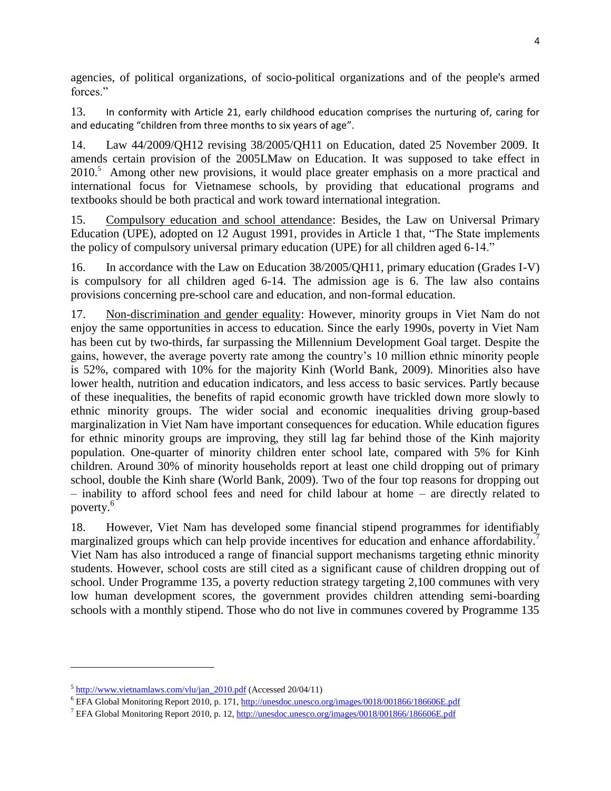agencies, of political organizations, of socio-political organizations and of the people's armed forces."

13. In conformity with Article 21, early childhood education comprises the nurturing of, caring for and educating "children from three months to six years of age".

14. Law 44/2009/QH12 revising 38/2005/QH11 on Education, dated 25 November 2009. It amends certain provision of the 2005LMaw on Education. It was supposed to take effect in 2010.<sup>5</sup> Among other new provisions, it would place greater emphasis on a more practical and international focus for Vietnamese schools, by providing that educational programs and textbooks should be both practical and work toward international integration.

15. Compulsory education and school attendance: Besides, the Law on Universal Primary Education (UPE), adopted on 12 August 1991, provides in Article 1 that, "The State implements the policy of compulsory universal primary education (UPE) for all children aged 6-14."

16. In accordance with the Law on Education 38/2005/QH11, primary education (Grades I-V) is compulsory for all children aged 6-14. The admission age is 6. The law also contains provisions concerning pre-school care and education, and non-formal education.

17. Non-discrimination and gender equality: However, minority groups in Viet Nam do not enjoy the same opportunities in access to education. Since the early 1990s, poverty in Viet Nam has been cut by two-thirds, far surpassing the Millennium Development Goal target. Despite the gains, however, the average poverty rate among the country's 10 million ethnic minority people is 52%, compared with 10% for the majority Kinh (World Bank, 2009). Minorities also have lower health, nutrition and education indicators, and less access to basic services. Partly because of these inequalities, the benefits of rapid economic growth have trickled down more slowly to ethnic minority groups. The wider social and economic inequalities driving group-based marginalization in Viet Nam have important consequences for education. While education figures for ethnic minority groups are improving, they still lag far behind those of the Kinh majority population. One-quarter of minority children enter school late, compared with 5% for Kinh children. Around 30% of minority households report at least one child dropping out of primary school, double the Kinh share (World Bank, 2009). Two of the four top reasons for dropping out – inability to afford school fees and need for child labour at home – are directly related to poverty.<sup>6</sup>

18. However, Viet Nam has developed some financial stipend programmes for identifiably marginalized groups which can help provide incentives for education and enhance affordability.<sup>7</sup> Viet Nam has also introduced a range of financial support mechanisms targeting ethnic minority students. However, school costs are still cited as a significant cause of children dropping out of school. Under Programme 135, a poverty reduction strategy targeting 2,100 communes with very low human development scores, the government provides children attending semi-boarding schools with a monthly stipend. Those who do not live in communes covered by Programme 135

l

<sup>&</sup>lt;sup>5</sup> [http://www.vietnamlaws.com/vlu/jan\\_2010.pdf](http://www.vietnamlaws.com/vlu/jan_2010.pdf) (Accessed 20/04/11)

<sup>6</sup> EFA Global Monitoring Report 2010, p. 171[, http://unesdoc.unesco.org/images/0018/001866/186606E.pdf](http://unesdoc.unesco.org/images/0018/001866/186606E.pdf)

<sup>7</sup> EFA Global Monitoring Report 2010, p. 12,<http://unesdoc.unesco.org/images/0018/001866/186606E.pdf>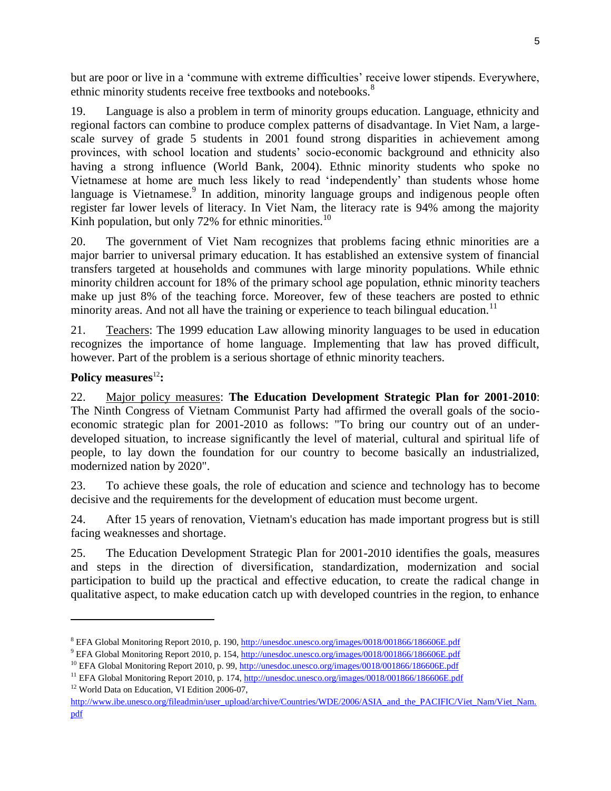but are poor or live in a 'commune with extreme difficulties' receive lower stipends. Everywhere, ethnic minority students receive free textbooks and notebooks.<sup>8</sup>

19. Language is also a problem in term of minority groups education. Language, ethnicity and regional factors can combine to produce complex patterns of disadvantage. In Viet Nam, a largescale survey of grade 5 students in 2001 found strong disparities in achievement among provinces, with school location and students' socio-economic background and ethnicity also having a strong influence (World Bank, 2004). Ethnic minority students who spoke no Vietnamese at home are much less likely to read 'independently' than students whose home language is Vietnamese.<sup>9</sup> In addition, minority language groups and indigenous people often register far lower levels of literacy. In Viet Nam, the literacy rate is 94% among the majority Kinh population, but only  $72\%$  for ethnic minorities.<sup>10</sup>

20. The government of Viet Nam recognizes that problems facing ethnic minorities are a major barrier to universal primary education. It has established an extensive system of financial transfers targeted at households and communes with large minority populations. While ethnic minority children account for 18% of the primary school age population, ethnic minority teachers make up just 8% of the teaching force. Moreover, few of these teachers are posted to ethnic minority areas. And not all have the training or experience to teach bilingual education.<sup>11</sup>

21. Teachers: The 1999 education Law allowing minority languages to be used in education recognizes the importance of home language. Implementing that law has proved difficult, however. Part of the problem is a serious shortage of ethnic minority teachers.

### Policy measures<sup>12</sup>:

l

22. Major policy measures: **The Education Development Strategic Plan for 2001-2010**: The Ninth Congress of Vietnam Communist Party had affirmed the overall goals of the socioeconomic strategic plan for 2001-2010 as follows: "To bring our country out of an underdeveloped situation, to increase significantly the level of material, cultural and spiritual life of people, to lay down the foundation for our country to become basically an industrialized, modernized nation by 2020".

23. To achieve these goals, the role of education and science and technology has to become decisive and the requirements for the development of education must become urgent.

24. After 15 years of renovation, Vietnam's education has made important progress but is still facing weaknesses and shortage.

25. The Education Development Strategic Plan for 2001-2010 identifies the goals, measures and steps in the direction of diversification, standardization, modernization and social participation to build up the practical and effective education, to create the radical change in qualitative aspect, to make education catch up with developed countries in the region, to enhance

<sup>8</sup> EFA Global Monitoring Report 2010, p. 190[, http://unesdoc.unesco.org/images/0018/001866/186606E.pdf](http://unesdoc.unesco.org/images/0018/001866/186606E.pdf)

<sup>9</sup> EFA Global Monitoring Report 2010, p. 154[, http://unesdoc.unesco.org/images/0018/001866/186606E.pdf](http://unesdoc.unesco.org/images/0018/001866/186606E.pdf)

<sup>&</sup>lt;sup>10</sup> EFA Global Monitoring Report 2010, p. 99,<http://unesdoc.unesco.org/images/0018/001866/186606E.pdf>

<sup>11</sup> EFA Global Monitoring Report 2010, p. 174[, http://unesdoc.unesco.org/images/0018/001866/186606E.pdf](http://unesdoc.unesco.org/images/0018/001866/186606E.pdf) <sup>12</sup> World Data on Education, VI Edition 2006-07,

[http://www.ibe.unesco.org/fileadmin/user\\_upload/archive/Countries/WDE/2006/ASIA\\_and\\_the\\_PACIFIC/Viet\\_Nam/Viet\\_Nam.](http://www.ibe.unesco.org/fileadmin/user_upload/archive/Countries/WDE/2006/ASIA_and_the_PACIFIC/Viet_Nam/Viet_Nam.pdf) [pdf](http://www.ibe.unesco.org/fileadmin/user_upload/archive/Countries/WDE/2006/ASIA_and_the_PACIFIC/Viet_Nam/Viet_Nam.pdf)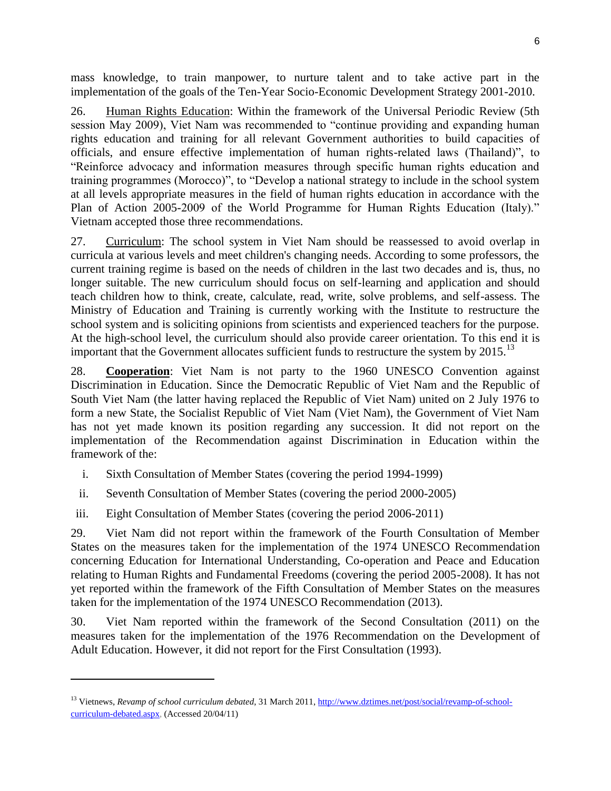mass knowledge, to train manpower, to nurture talent and to take active part in the implementation of the goals of the Ten-Year Socio-Economic Development Strategy 2001-2010.

26. Human Rights Education: Within the framework of the Universal Periodic Review (5th session May 2009), Viet Nam was recommended to "continue providing and expanding human rights education and training for all relevant Government authorities to build capacities of officials, and ensure effective implementation of human rights-related laws (Thailand)", to "Reinforce advocacy and information measures through specific human rights education and training programmes (Morocco)", to "Develop a national strategy to include in the school system at all levels appropriate measures in the field of human rights education in accordance with the Plan of Action 2005-2009 of the World Programme for Human Rights Education (Italy)." Vietnam accepted those three recommendations.

27. Curriculum: The school system in Viet Nam should be reassessed to avoid overlap in curricula at various levels and meet children's changing needs. According to some professors, the current training regime is based on the needs of children in the last two decades and is, thus, no longer suitable. The new curriculum should focus on self-learning and application and should teach children how to think, create, calculate, read, write, solve problems, and self-assess. The Ministry of Education and Training is currently working with the Institute to restructure the school system and is soliciting opinions from scientists and experienced teachers for the purpose. At the high-school level, the curriculum should also provide career orientation. To this end it is important that the Government allocates sufficient funds to restructure the system by  $2015$ .<sup>13</sup>

28. **Cooperation**: Viet Nam is not party to the 1960 UNESCO Convention against Discrimination in Education. Since the Democratic Republic of Viet Nam and the Republic of South Viet Nam (the latter having replaced the Republic of Viet Nam) united on 2 July 1976 to form a new State, the Socialist Republic of Viet Nam (Viet Nam), the Government of Viet Nam has not yet made known its position regarding any succession. It did not report on the implementation of the Recommendation against Discrimination in Education within the framework of the:

- i. Sixth Consultation of Member States (covering the period 1994-1999)
- ii. Seventh Consultation of Member States (covering the period 2000-2005)
- iii. Eight Consultation of Member States (covering the period 2006-2011)

 $\overline{\phantom{a}}$ 

29. Viet Nam did not report within the framework of the Fourth Consultation of Member States on the measures taken for the implementation of the 1974 UNESCO Recommendation concerning Education for International Understanding, Co-operation and Peace and Education relating to Human Rights and Fundamental Freedoms (covering the period 2005-2008). It has not yet reported within the framework of the Fifth Consultation of Member States on the measures taken for the implementation of the 1974 UNESCO Recommendation (2013).

30. Viet Nam reported within the framework of the Second Consultation (2011) on the measures taken for the implementation of the 1976 Recommendation on the Development of Adult Education. However, it did not report for the First Consultation (1993).

<sup>&</sup>lt;sup>13</sup> Vietnews, *Revamp of school curriculum debated*, 31 March 2011, [http://www.dztimes.net/post/social/revamp-of-school](http://www.dztimes.net/post/social/revamp-of-school-curriculum-debated.aspx)[curriculum-debated.aspx,](http://www.dztimes.net/post/social/revamp-of-school-curriculum-debated.aspx) (Accessed 20/04/11)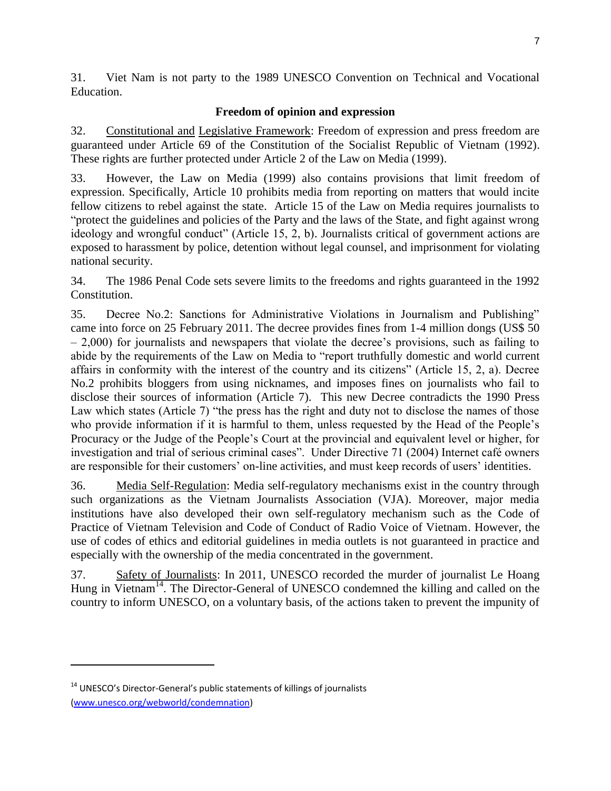31. Viet Nam is not party to the 1989 UNESCO Convention on Technical and Vocational Education.

### **Freedom of opinion and expression**

32. Constitutional and Legislative Framework: Freedom of expression and press freedom are guaranteed under Article 69 of the Constitution of the Socialist Republic of Vietnam (1992). These rights are further protected under Article 2 of the Law on Media (1999).

33. However, the Law on Media (1999) also contains provisions that limit freedom of expression. Specifically, Article 10 prohibits media from reporting on matters that would incite fellow citizens to rebel against the state. Article 15 of the Law on Media requires journalists to "protect the guidelines and policies of the Party and the laws of the State, and fight against wrong ideology and wrongful conduct" (Article 15, 2, b). Journalists critical of government actions are exposed to harassment by police, detention without legal counsel, and imprisonment for violating national security.

34. The 1986 Penal Code sets severe limits to the freedoms and rights guaranteed in the 1992 Constitution.

35. Decree No.2: Sanctions for Administrative Violations in Journalism and Publishing" came into force on 25 February 2011. The decree provides fines from 1-4 million dongs (US\$ 50 – 2,000) for journalists and newspapers that violate the decree's provisions, such as failing to abide by the requirements of the Law on Media to "report truthfully domestic and world current affairs in conformity with the interest of the country and its citizens" (Article 15, 2, a). Decree No.2 prohibits bloggers from using nicknames, and imposes fines on journalists who fail to disclose their sources of information (Article 7). This new Decree contradicts the 1990 Press Law which states (Article 7) "the press has the right and duty not to disclose the names of those who provide information if it is harmful to them, unless requested by the Head of the People's Procuracy or the Judge of the People's Court at the provincial and equivalent level or higher, for investigation and trial of serious criminal cases". Under Directive 71 (2004) Internet café owners are responsible for their customers' on-line activities, and must keep records of users' identities.

36. Media Self-Regulation: Media self-regulatory mechanisms exist in the country through such organizations as the Vietnam Journalists Association (VJA). Moreover, major media institutions have also developed their own self-regulatory mechanism such as the Code of Practice of Vietnam Television and Code of Conduct of Radio Voice of Vietnam. However, the use of codes of ethics and editorial guidelines in media outlets is not guaranteed in practice and especially with the ownership of the media concentrated in the government.

37. Safety of Journalists: In 2011, UNESCO recorded the murder of journalist Le Hoang Hung in Vietnam<sup>14</sup>. The Director-General of UNESCO condemned the killing and called on the country to inform UNESCO, on a voluntary basis, of the actions taken to prevent the impunity of

 $\overline{\phantom{a}}$ 

<sup>&</sup>lt;sup>14</sup> UNESCO's Director-General's public statements of killings of journalists [\(www.unesco.org/webworld/condemnation\)](http://www.unesco.org/webworld/condemnation)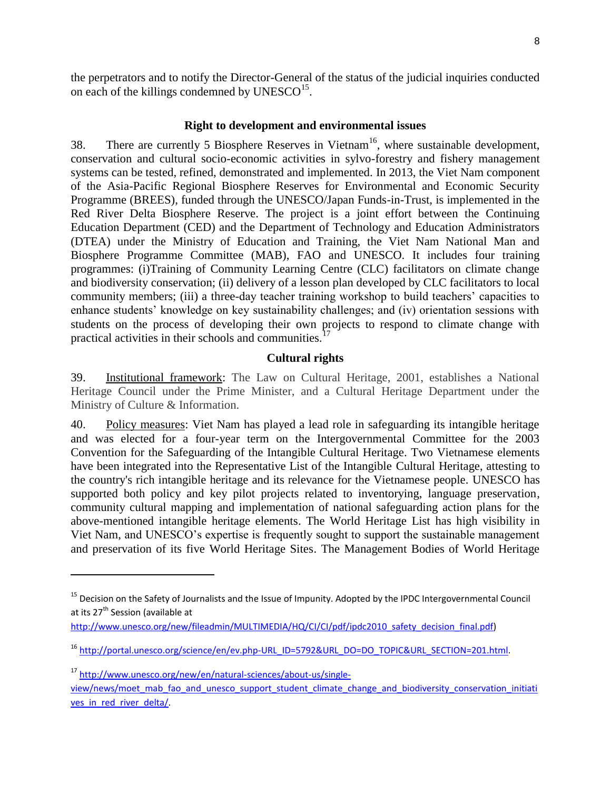the perpetrators and to notify the Director-General of the status of the judicial inquiries conducted on each of the killings condemned by  $UNESCO<sup>15</sup>$ .

#### **Right to development and environmental issues**

38. There are currently 5 Biosphere Reserves in Vietnam<sup>16</sup>, where sustainable development, conservation and cultural socio-economic activities in sylvo-forestry and fishery management systems can be tested, refined, demonstrated and implemented. In 2013, the Viet Nam component of the Asia-Pacific Regional Biosphere Reserves for Environmental and Economic Security Programme (BREES), funded through the UNESCO/Japan Funds-in-Trust, is implemented in the Red River Delta Biosphere Reserve. The project is a joint effort between the Continuing Education Department (CED) and the Department of Technology and Education Administrators (DTEA) under the Ministry of Education and Training, the Viet Nam National Man and Biosphere Programme Committee (MAB), FAO and UNESCO. It includes four training programmes: (i)Training of Community Learning Centre (CLC) facilitators on climate change and biodiversity conservation; (ii) delivery of a lesson plan developed by CLC facilitators to local community members; (iii) a three-day teacher training workshop to build teachers' capacities to enhance students' knowledge on key sustainability challenges; and (iv) orientation sessions with students on the process of developing their own projects to respond to climate change with practical activities in their schools and communities.<sup>1</sup>

#### **Cultural rights**

39. Institutional framework: The Law on Cultural Heritage, 2001, establishes a National Heritage Council under the Prime Minister, and a Cultural Heritage Department under the Ministry of Culture & Information.

40. Policy measures: Viet Nam has played a lead role in safeguarding its intangible heritage and was elected for a four-year term on the Intergovernmental Committee for the 2003 Convention for the Safeguarding of the Intangible Cultural Heritage. Two Vietnamese elements have been integrated into the Representative List of the Intangible Cultural Heritage, attesting to the country's rich intangible heritage and its relevance for the Vietnamese people. UNESCO has supported both policy and key pilot projects related to inventorying, language preservation, community cultural mapping and implementation of national safeguarding action plans for the above-mentioned intangible heritage elements. The World Heritage List has high visibility in Viet Nam, and UNESCO's expertise is frequently sought to support the sustainable management and preservation of its five World Heritage Sites. The Management Bodies of World Heritage

l

<sup>&</sup>lt;sup>15</sup> Decision on the Safety of Journalists and the Issue of Impunity. Adopted by the IPDC Intergovernmental Council at its 27<sup>th</sup> Session (available at

[http://www.unesco.org/new/fileadmin/MULTIMEDIA/HQ/CI/CI/pdf/ipdc2010\\_safety\\_decision\\_final.pdf\)](http://www.unesco.org/new/fileadmin/MULTIMEDIA/HQ/CI/CI/pdf/ipdc2010_safety_decision_final.pdf)

<sup>16</sup> [http://portal.unesco.org/science/en/ev.php-URL\\_ID=5792&URL\\_DO=DO\\_TOPIC&URL\\_SECTION=201.html.](http://portal.unesco.org/science/en/ev.php-URL_ID=5792&URL_DO=DO_TOPIC&URL_SECTION=201.html) 

<sup>17</sup> [http://www.unesco.org/new/en/natural-sciences/about-us/single](http://www.unesco.org/new/en/natural-sciences/about-us/single-view/news/moet_mab_fao_and_unesco_support_student_climate_change_and_biodiversity_conservation_initiatives_in_red_river_delta/)[view/news/moet\\_mab\\_fao\\_and\\_unesco\\_support\\_student\\_climate\\_change\\_and\\_biodiversity\\_conservation\\_initiati](http://www.unesco.org/new/en/natural-sciences/about-us/single-view/news/moet_mab_fao_and_unesco_support_student_climate_change_and_biodiversity_conservation_initiatives_in_red_river_delta/) ves in red river delta/.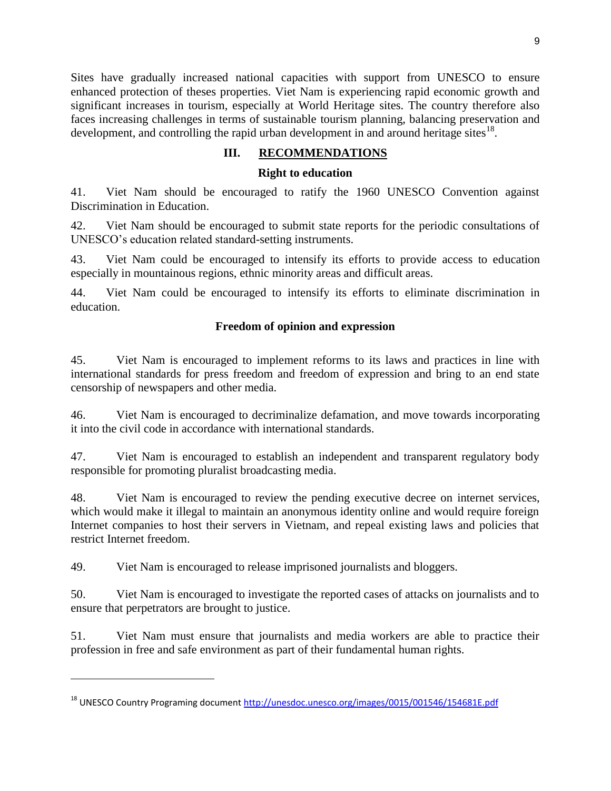Sites have gradually increased national capacities with support from UNESCO to ensure enhanced protection of theses properties. Viet Nam is experiencing rapid economic growth and significant increases in tourism, especially at World Heritage sites. The country therefore also faces increasing challenges in terms of sustainable tourism planning, balancing preservation and development, and controlling the rapid urban development in and around heritage sites<sup>18</sup>.

# **III. RECOMMENDATIONS**

#### **Right to education**

41. Viet Nam should be encouraged to ratify the 1960 UNESCO Convention against Discrimination in Education.

42. Viet Nam should be encouraged to submit state reports for the periodic consultations of UNESCO's education related standard-setting instruments.

43. Viet Nam could be encouraged to intensify its efforts to provide access to education especially in mountainous regions, ethnic minority areas and difficult areas.

44. Viet Nam could be encouraged to intensify its efforts to eliminate discrimination in education.

#### **Freedom of opinion and expression**

45. Viet Nam is encouraged to implement reforms to its laws and practices in line with international standards for press freedom and freedom of expression and bring to an end state censorship of newspapers and other media.

46. Viet Nam is encouraged to decriminalize defamation, and move towards incorporating it into the civil code in accordance with international standards.

47. Viet Nam is encouraged to establish an independent and transparent regulatory body responsible for promoting pluralist broadcasting media.

48. Viet Nam is encouraged to review the pending executive decree on internet services, which would make it illegal to maintain an anonymous identity online and would require foreign Internet companies to host their servers in Vietnam, and repeal existing laws and policies that restrict Internet freedom.

49. Viet Nam is encouraged to release imprisoned journalists and bloggers.

l

50. Viet Nam is encouraged to investigate the reported cases of attacks on journalists and to ensure that perpetrators are brought to justice.

51. Viet Nam must ensure that journalists and media workers are able to practice their profession in free and safe environment as part of their fundamental human rights.

<sup>&</sup>lt;sup>18</sup> UNESCO Country Programing document<http://unesdoc.unesco.org/images/0015/001546/154681E.pdf>